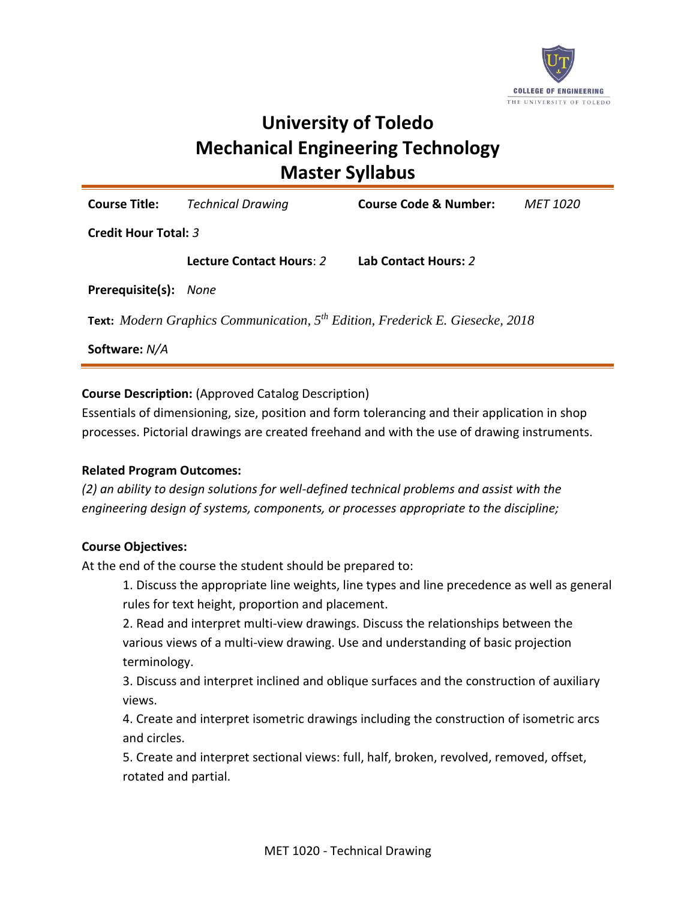

# **University of Toledo Mechanical Engineering Technology Master Syllabus**

**Course Title:** *Technical Drawing* **Course Code & Number:** *MET 1020* **Credit Hour Total:** *3* **Lecture Contact Hours**: *2* **Lab Contact Hours:** *2* **Prerequisite(s):** *None*

**Text:** *Modern Graphics Communication, 5 th Edition, Frederick E. Giesecke, 2018*

**Software:** *N/A*

**Course Description:** (Approved Catalog Description)

Essentials of dimensioning, size, position and form tolerancing and their application in shop processes. Pictorial drawings are created freehand and with the use of drawing instruments.

### **Related Program Outcomes:**

*(2) an ability to design solutions for well-defined technical problems and assist with the engineering design of systems, components, or processes appropriate to the discipline;*

### **Course Objectives:**

At the end of the course the student should be prepared to:

1. Discuss the appropriate line weights, line types and line precedence as well as general rules for text height, proportion and placement.

2. Read and interpret multi-view drawings. Discuss the relationships between the various views of a multi-view drawing. Use and understanding of basic projection terminology.

3. Discuss and interpret inclined and oblique surfaces and the construction of auxiliary views.

4. Create and interpret isometric drawings including the construction of isometric arcs and circles.

5. Create and interpret sectional views: full, half, broken, revolved, removed, offset, rotated and partial.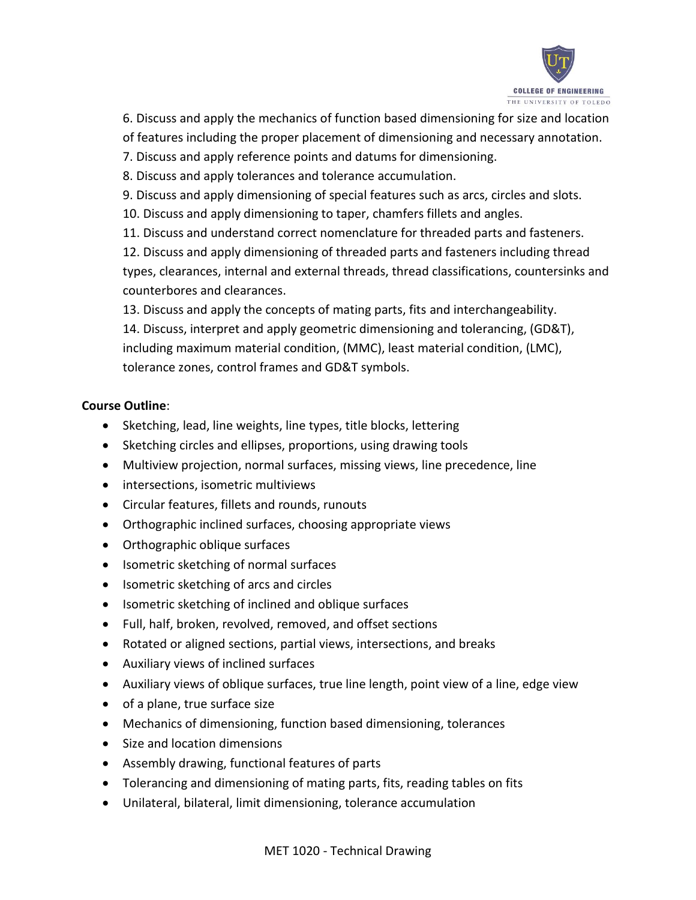

6. Discuss and apply the mechanics of function based dimensioning for size and location

- of features including the proper placement of dimensioning and necessary annotation.
- 7. Discuss and apply reference points and datums for dimensioning.
- 8. Discuss and apply tolerances and tolerance accumulation.
- 9. Discuss and apply dimensioning of special features such as arcs, circles and slots.
- 10. Discuss and apply dimensioning to taper, chamfers fillets and angles.
- 11. Discuss and understand correct nomenclature for threaded parts and fasteners.

12. Discuss and apply dimensioning of threaded parts and fasteners including thread types, clearances, internal and external threads, thread classifications, countersinks and counterbores and clearances.

13. Discuss and apply the concepts of mating parts, fits and interchangeability. 14. Discuss, interpret and apply geometric dimensioning and tolerancing, (GD&T), including maximum material condition, (MMC), least material condition, (LMC), tolerance zones, control frames and GD&T symbols.

# **Course Outline**:

- Sketching, lead, line weights, line types, title blocks, lettering
- Sketching circles and ellipses, proportions, using drawing tools
- Multiview projection, normal surfaces, missing views, line precedence, line
- intersections, isometric multiviews
- Circular features, fillets and rounds, runouts
- Orthographic inclined surfaces, choosing appropriate views
- Orthographic oblique surfaces
- Isometric sketching of normal surfaces
- Isometric sketching of arcs and circles
- Isometric sketching of inclined and oblique surfaces
- Full, half, broken, revolved, removed, and offset sections
- Rotated or aligned sections, partial views, intersections, and breaks
- Auxiliary views of inclined surfaces
- Auxiliary views of oblique surfaces, true line length, point view of a line, edge view
- of a plane, true surface size
- Mechanics of dimensioning, function based dimensioning, tolerances
- Size and location dimensions
- Assembly drawing, functional features of parts
- Tolerancing and dimensioning of mating parts, fits, reading tables on fits
- Unilateral, bilateral, limit dimensioning, tolerance accumulation